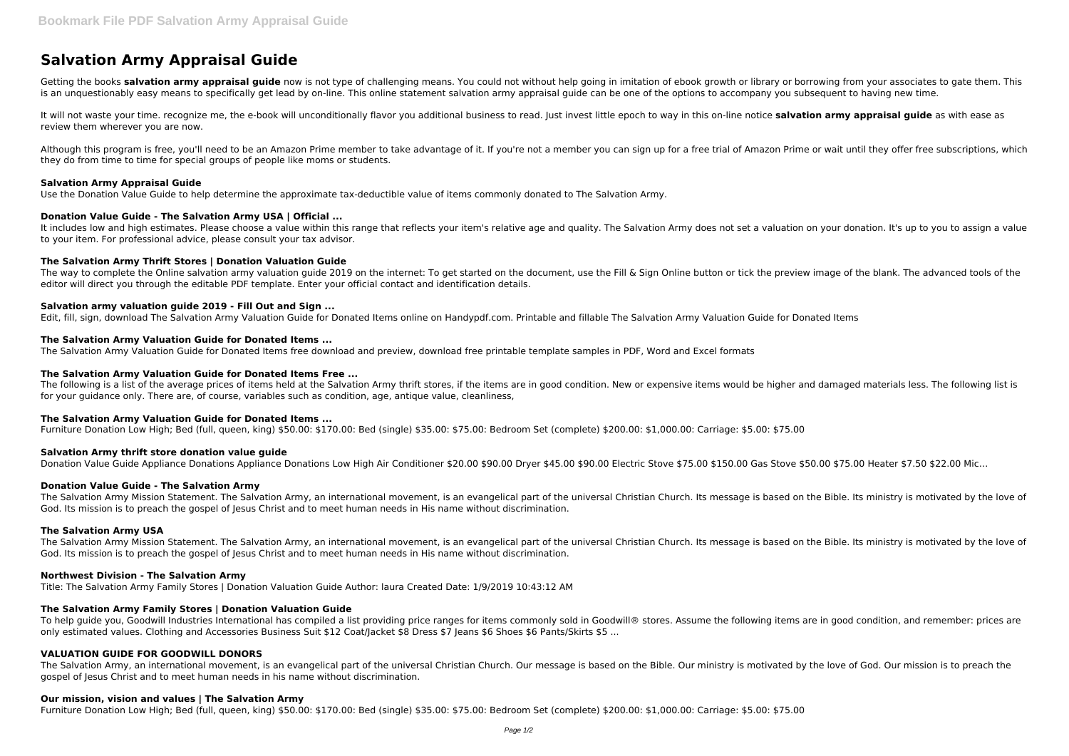# **Salvation Army Appraisal Guide**

Getting the books **salvation army appraisal guide** now is not type of challenging means. You could not without help going in imitation of ebook growth or library or borrowing from your associates to gate them. This is an unquestionably easy means to specifically get lead by on-line. This online statement salvation army appraisal quide can be one of the options to accompany you subsequent to having new time.

It will not waste your time. recognize me, the e-book will unconditionally flavor you additional business to read. Just invest little epoch to way in this on-line notice **salvation army appraisal guide** as with ease as review them wherever you are now.

It includes low and high estimates. Please choose a value within this range that reflects your item's relative age and quality. The Salvation Army does not set a valuation on your donation. It's up to you to assign a value to your item. For professional advice, please consult your tax advisor.

Although this program is free, you'll need to be an Amazon Prime member to take advantage of it. If you're not a member you can sign up for a free trial of Amazon Prime or wait until they offer free subscriptions, which they do from time to time for special groups of people like moms or students.

The way to complete the Online salvation army valuation guide 2019 on the internet: To get started on the document, use the Fill & Sign Online button or tick the preview image of the blank. The advanced tools of the editor will direct you through the editable PDF template. Enter your official contact and identification details.

## **Salvation Army Appraisal Guide**

Use the Donation Value Guide to help determine the approximate tax-deductible value of items commonly donated to The Salvation Army.

## **Donation Value Guide - The Salvation Army USA | Official ...**

The following is a list of the average prices of items held at the Salvation Army thrift stores, if the items are in good condition. New or expensive items would be higher and damaged materials less. The following list is for your guidance only. There are, of course, variables such as condition, age, antique value, cleanliness,

## **The Salvation Army Thrift Stores | Donation Valuation Guide**

# **Salvation army valuation guide 2019 - Fill Out and Sign ...**

Edit, fill, sign, download The Salvation Army Valuation Guide for Donated Items online on Handypdf.com. Printable and fillable The Salvation Army Valuation Guide for Donated Items

## **The Salvation Army Valuation Guide for Donated Items ...**

To help guide you, Goodwill Industries International has compiled a list providing price ranges for items commonly sold in Goodwill® stores. Assume the following items are in good condition, and remember: prices are only estimated values. Clothing and Accessories Business Suit \$12 Coat/Jacket \$8 Dress \$7 Jeans \$6 Shoes \$6 Pants/Skirts \$5 ...

The Salvation Army Valuation Guide for Donated Items free download and preview, download free printable template samples in PDF, Word and Excel formats

## **The Salvation Army Valuation Guide for Donated Items Free ...**

The Salvation Army, an international movement, is an evangelical part of the universal Christian Church. Our message is based on the Bible. Our ministry is motivated by the love of God. Our mission is to preach the gospel of Jesus Christ and to meet human needs in his name without discrimination.

# **The Salvation Army Valuation Guide for Donated Items ...**

Furniture Donation Low High; Bed (full, queen, king) \$50.00: \$170.00: Bed (single) \$35.00: \$75.00: Bedroom Set (complete) \$200.00: \$1,000.00: Carriage: \$5.00: \$75.00

# **Salvation Army thrift store donation value guide**

Donation Value Guide Appliance Donations Appliance Donations Low High Air Conditioner \$20.00 \$90.00 Dryer \$45.00 \$90.00 Electric Stove \$75.00 \$150.00 Gas Stove \$50.00 \$75.00 Heater \$7.50 \$22.00 Mic...

# **Donation Value Guide - The Salvation Army**

The Salvation Army Mission Statement. The Salvation Army, an international movement, is an evangelical part of the universal Christian Church. Its message is based on the Bible. Its ministry is motivated by the love of God. Its mission is to preach the gospel of Jesus Christ and to meet human needs in His name without discrimination.

#### **The Salvation Army USA**

The Salvation Army Mission Statement. The Salvation Army, an international movement, is an evangelical part of the universal Christian Church. Its message is based on the Bible. Its ministry is motivated by the love of God. Its mission is to preach the gospel of Jesus Christ and to meet human needs in His name without discrimination.

# **Northwest Division - The Salvation Army**

Title: The Salvation Army Family Stores | Donation Valuation Guide Author: laura Created Date: 1/9/2019 10:43:12 AM

# **The Salvation Army Family Stores | Donation Valuation Guide**

# **VALUATION GUIDE FOR GOODWILL DONORS**

#### **Our mission, vision and values | The Salvation Army**

Furniture Donation Low High; Bed (full, queen, king) \$50.00: \$170.00: Bed (single) \$35.00: \$75.00: Bedroom Set (complete) \$200.00: \$1,000.00: Carriage: \$5.00: \$75.00